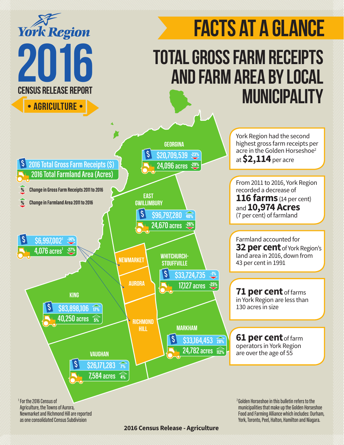

**2016 Census Release - Agriculture**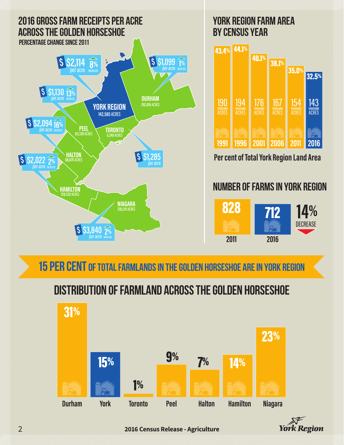

### 15 per cent of Total Farmlands in the Golden Horseshoe are in York region

### Distribution of farmland Across the Golden Horseshoe





2 **2016 Census Release - Agriculture**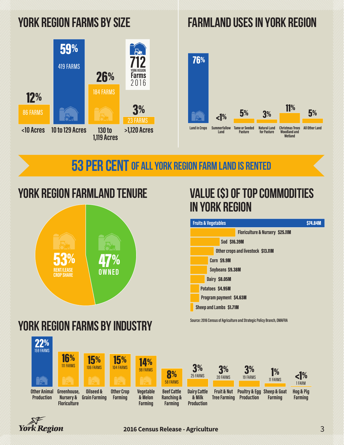

### York region Farms by Size FarmLand Uses in York Region



**53 PER CENT OF ALL YORK REGION FARM LAND IS RENTED** 

# York region Farmland Tenure



# York region Farms by Industry

### 22% **Other Animal Production Greenhouse, Nursery & Floriculture Oilseed & Grain Farming Other Crop Farming Vegetable & Melon Farming Beef Cattle Ranching & Farming Dairy Cattle & Milk Production Fruit & Nut Tree Farming Poultry & Egg Sheep & Goat Production Farming Hog & Pig Farming** 159 FARMS  $16%$ **15%** 106 FARMS  $15\%$ <br>104 FARMS 14%<br>98 FARMS **98 FARMS 3%** 25 FARMS 3% 20 FARMS  $3\%$   $1\%$  $1\%$   $\leq$   $1\%$ 1 FARM 8% 58 FARMS



## value (\$) of Top Commodities IN York region

| <b>Fruits &amp; Vegetables</b>     |               |                                            | <b>\$74,84M</b> |
|------------------------------------|---------------|--------------------------------------------|-----------------|
|                                    |               | <b>Floriculture &amp; Nursery \$25.11M</b> |                 |
| <b>Sod \$16,39M</b>                |               |                                            |                 |
| Other crops and livestock \$13.11M |               |                                            |                 |
|                                    | Corn \$9.9M   |                                            |                 |
| Soybeans \$9.38M                   |               |                                            |                 |
|                                    | Dairy \$8.05M |                                            |                 |
| Potatoes \$4.95M                   |               |                                            |                 |
| <b>Program payment \$4.63M</b>     |               |                                            |                 |
| <b>Sheep and Lambs \$1.71M</b>     |               |                                            |                 |

**Source: 2016 Census of Agriculture and Strategic Policy Branch, OMAFRA**